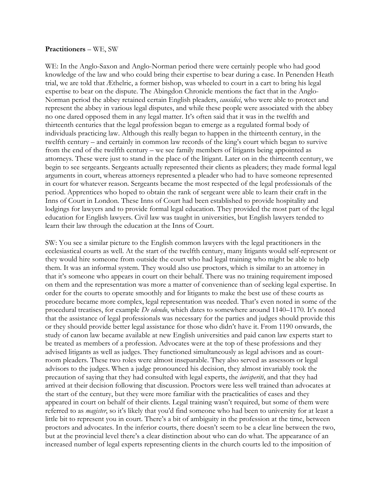## **Practitioners** – WE, SW

WE: In the Anglo-Saxon and Anglo-Norman period there were certainly people who had good knowledge of the law and who could bring their expertise to bear during a case. In Penenden Heath trial, we are told that Æthelric, a former bishop, was wheeled to court in a cart to bring his legal expertise to bear on the dispute. The Abingdon Chronicle mentions the fact that in the Anglo-Norman period the abbey retained certain English pleaders, *causidici*, who were able to protect and represent the abbey in various legal disputes, and while these people were associated with the abbey no one dared opposed them in any legal matter. It's often said that it was in the twelfth and thirteenth centuries that the legal profession began to emerge as a regulated formal body of individuals practicing law. Although this really began to happen in the thirteenth century, in the twelfth century – and certainly in common law records of the king's court which began to survive from the end of the twelfth century – we see family members of litigants being appointed as attorneys. These were just to stand in the place of the litigant. Later on in the thirteenth century, we begin to see sergeants. Sergeants actually represented their clients as pleaders; they made formal legal arguments in court, whereas attorneys represented a pleader who had to have someone represented in court for whatever reason. Sergeants became the most respected of the legal professionals of the period. Apprentices who hoped to obtain the rank of sergeant were able to learn their craft in the Inns of Court in London. These Inns of Court had been established to provide hospitality and lodgings for lawyers and to provide formal legal education. They provided the most part of the legal education for English lawyers. Civil law was taught in universities, but English lawyers tended to learn their law through the education at the Inns of Court.

SW: You see a similar picture to the English common lawyers with the legal practitioners in the ecclesiastical courts as well. At the start of the twelfth century, many litigants would self-represent or they would hire someone from outside the court who had legal training who might be able to help them. It was an informal system. They would also use proctors, which is similar to an attorney in that it's someone who appears in court on their behalf. There was no training requirement imposed on them and the representation was more a matter of convenience than of seeking legal expertise. In order for the courts to operate smoothly and for litigants to make the best use of these courts as procedure became more complex, legal representation was needed. That's even noted in some of the procedural treatises, for example *De edendo*, which dates to somewhere around 1140–1170. It's noted that the assistance of legal professionals was necessary for the parties and judges should provide this or they should provide better legal assistance for those who didn't have it. From 1190 onwards, the study of canon law became available at new English universities and paid canon law experts start to be treated as members of a profession. Advocates were at the top of these professions and they advised litigants as well as judges. They functioned simultaneously as legal advisors and as courtroom pleaders. These two roles were almost inseparable. They also served as assessors or legal advisors to the judges. When a judge pronounced his decision, they almost invariably took the precaution of saying that they had consulted with legal experts, the *iurisperiti*, and that they had arrived at their decision following that discussion. Proctors were less well trained than advocates at the start of the century, but they were more familiar with the practicalities of cases and they appeared in court on behalf of their clients. Legal training wasn't required, but some of them were referred to as *magister*, so it's likely that you'd find someone who had been to university for at least a little bit to represent you in court. There's a bit of ambiguity in the profession at the time, between proctors and advocates. In the inferior courts, there doesn't seem to be a clear line between the two, but at the provincial level there's a clear distinction about who can do what. The appearance of an increased number of legal experts representing clients in the church courts led to the imposition of